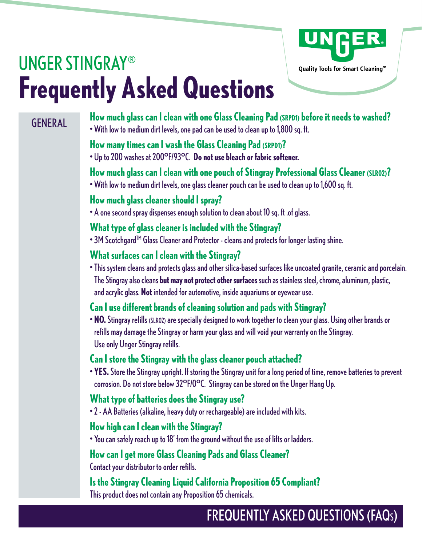

# UNGER STINGRAY® **Frequently Asked Questions**

# **GENERAL**

**How much glass can I clean with one Glass Cleaning Pad (SRPD1) before it needs to washed?** • With low to medium dirt levels, one pad can be used to clean up to 1,800 sq. ft.

# **How many times can I wash the Glass Cleaning Pad (SRPD1)?**

• Up to 200 washes at 200°F/93°C. **Do not use bleach or fabric softener.**

# **How much glass can I clean with one pouch of Stingray Professional Glass Cleaner (SLR02)?**

• With low to medium dirt levels, one glass cleaner pouch can be used to clean up to 1,600 sq. ft.

#### **How much glass cleaner should I spray?**

• A one second spray dispenses enough solution to clean about 10 sq. ft .of glass.

# **What type of glass cleaner is included with the Stingray?**

• 3M Scotchgard<sup>TM</sup> Glass Cleaner and Protector - cleans and protects for longer lasting shine.

# **What surfaces can I clean with the Stingray?**

• This system cleans and protects glass and other silica-based surfaces like uncoated granite, ceramic and porcelain. The Stingray also cleans **but may not protect other surfaces** such as stainless steel, chrome, aluminum, plastic, and acrylic glass. **Not** intended for automotive, inside aquariums or eyewear use.

# **Can I use different brands of cleaning solution and pads with Stingray?**

• **NO.** Stingray refills (SLR02) are specially designed to work together to clean your glass. Using other brands or refills may damage the Stingray or harm your glass and will void your warranty on the Stingray. Use only Unger Stingray refills.

# **Can I store the Stingray with the glass cleaner pouch attached?**

• **YES.** Store the Stingray upright. If storing the Stingray unit for a long period of time, remove batteries to prevent corrosion. Do not store below 32°F/0°C. Stingray can be stored on the Unger Hang Up.

# **What type of batteries does the Stingray use?**

• 2 - AA Batteries (alkaline, heavy duty or rechargeable) are included with kits.

# **How high can I clean with the Stingray?**

• You can safely reach up to 18' from the ground without the use of lifts or ladders.

# **How can I get more Glass Cleaning Pads and Glass Cleaner?**

Contact your distributor to order refills.

# **Is the Stingray Cleaning Liquid California Proposition 65 Compliant?**

This product does not contain any Proposition 65 chemicals.

# FREQUENTLY ASKED QUESTIONS (FAQS)